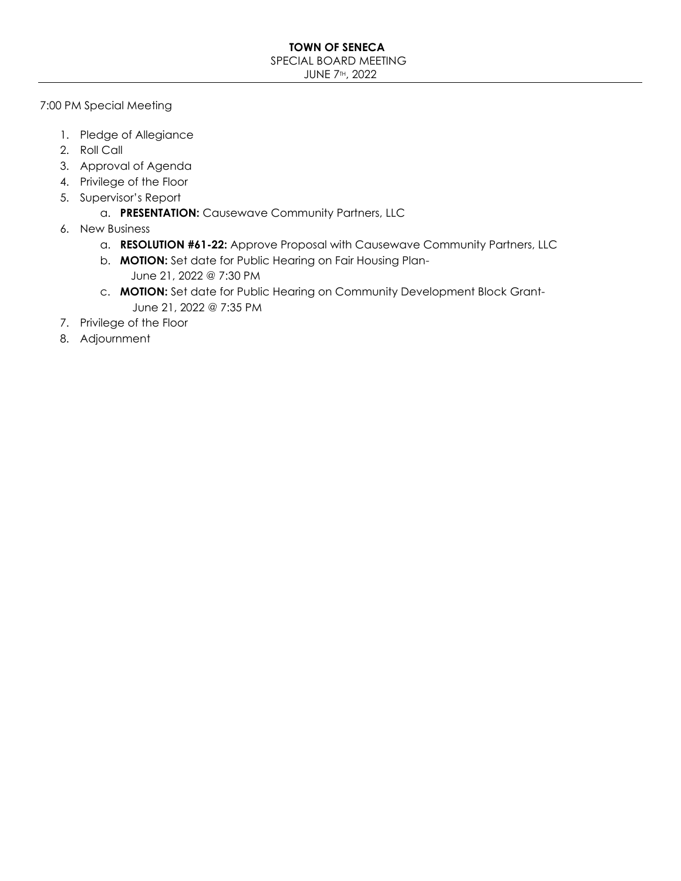#### **TOWN OF SENECA** SPECIAL BOARD MEETING JUNE 7TH, 2022

7:00 PM Special Meeting

- 1. Pledge of Allegiance
- 2. Roll Call
- 3. Approval of Agenda
- 4. Privilege of the Floor
- 5. Supervisor's Report
	- a. **PRESENTATION:** Causewave Community Partners, LLC
- 6. New Business
	- a. **RESOLUTION #61-22:** Approve Proposal with Causewave Community Partners, LLC
	- b. **MOTION:** Set date for Public Hearing on Fair Housing Plan- June 21, 2022 @ 7:30 PM
	- c. **MOTION:** Set date for Public Hearing on Community Development Block Grant- June 21, 2022 @ 7:35 PM
- 7. Privilege of the Floor
- 8. Adjournment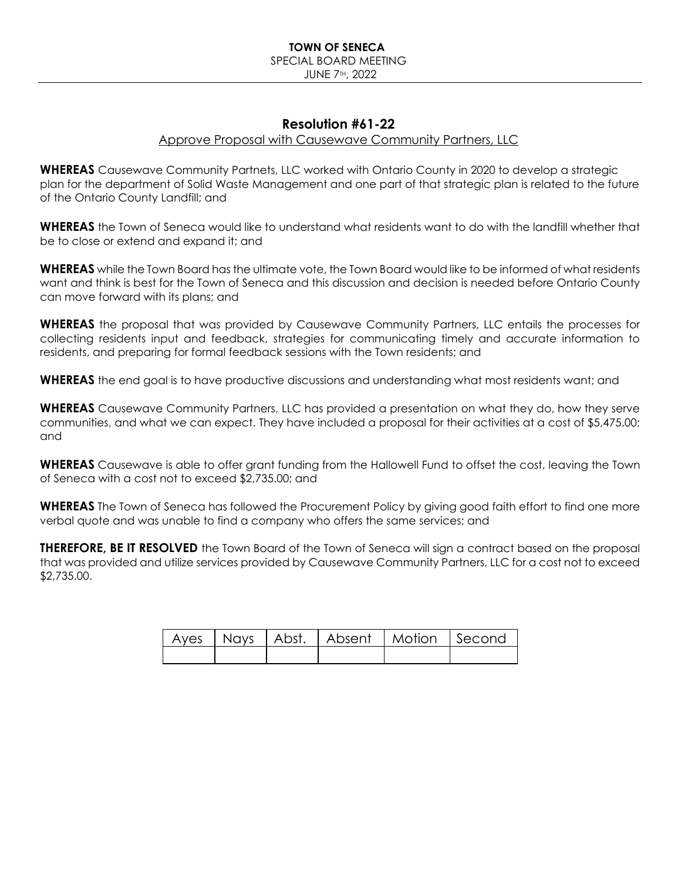### **Resolution #61-22**

#### Approve Proposal with Causewave Community Partners, LLC

**WHEREAS** Causewave Community Partnets, LLC worked with Ontario County in 2020 to develop a strategic plan for the department of Solid Waste Management and one part of that strategic plan is related to the future of the Ontario County Landfill; and

**WHEREAS** the Town of Seneca would like to understand what residents want to do with the landfill whether that be to close or extend and expand it; and

**WHEREAS** while the Town Board has the ultimate vote, the Town Board would like to be informed of what residents want and think is best for the Town of Seneca and this discussion and decision is needed before Ontario County can move forward with its plans; and

**WHEREAS** the proposal that was provided by Causewave Community Partners, LLC entails the processes for collecting residents input and feedback, strategies for communicating timely and accurate information to residents, and preparing for formal feedback sessions with the Town residents; and

**WHEREAS** the end goal is to have productive discussions and understanding what most residents want; and

**WHEREAS** Causewave Community Partners, LLC has provided a presentation on what they do, how they serve communities, and what we can expect. They have included a proposal for their activities at a cost of \$5,475.00; and

**WHEREAS** Causewave is able to offer grant funding from the Hallowell Fund to offset the cost, leaving the Town of Seneca with a cost not to exceed \$2,735.00; and

**WHEREAS** The Town of Seneca has followed the Procurement Policy by giving good faith effort to find one more verbal quote and was unable to find a company who offers the same services; and

**THEREFORE, BE IT RESOLVED** the Town Board of the Town of Seneca will sign a contract based on the proposal that was provided and utilize services provided by Causewave Community Partners, LLC for a cost not to exceed \$2,735.00.

|  | Ayes   Nays   Abst.   Absent   Motion   Second |  |
|--|------------------------------------------------|--|
|  |                                                |  |